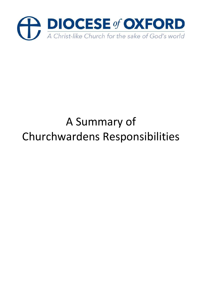

# A Summary of Churchwardens Responsibilities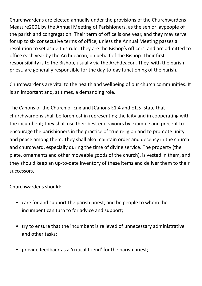Churchwardens are elected annually under the provisions of the Churchwardens Measure2001 by the Annual Meeting of Parishioners, as the senior laypeople of the parish and congregation. Their term of office is one year, and they may serve for up to six consecutive terms of office, unless the Annual Meeting passes a resolution to set aside this rule. They are the Bishop's officers, and are admitted to office each year by the Archdeacon, on behalf of the Bishop. Their first responsibility is to the Bishop, usually via the Archdeacon. They, with the parish priest, are generally responsible for the day-to-day functioning of the parish.

Churchwardens are vital to the health and wellbeing of our church communities. It is an important and, at times, a demanding role.

The Canons of the Church of England [Canons E1.4 and E1.5] state that churchwardens shall be foremost in representing the laity and in cooperating with the incumbent; they shall use their best endeavours by example and precept to encourage the parishioners in the practice of true religion and to promote unity and peace among them. They shall also maintain order and decency in the church and churchyard, especially during the time of divine service. The property (the plate, ornaments and other moveable goods of the church), is vested in them, and they should keep an up-to-date inventory of these items and deliver them to their successors.

Churchwardens should:

- care for and support the parish priest, and be people to whom the incumbent can turn to for advice and support;
- try to ensure that the incumbent is relieved of unnecessary administrative and other tasks;
- provide feedback as a 'critical friend' for the parish priest;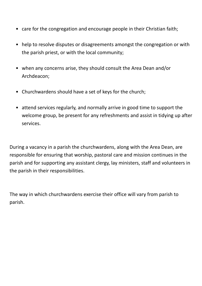- care for the congregation and encourage people in their Christian faith;
- help to resolve disputes or disagreements amongst the congregation or with the parish priest, or with the local community;
- when any concerns arise, they should consult the Area Dean and/or Archdeacon;
- Churchwardens should have a set of keys for the church;
- attend services regularly, and normally arrive in good time to support the welcome group, be present for any refreshments and assist in tidying up after services.

During a vacancy in a parish the churchwardens, along with the Area Dean, are responsible for ensuring that worship, pastoral care and mission continues in the parish and for supporting any assistant clergy, lay ministers, staff and volunteers in the parish in their responsibilities.

The way in which churchwardens exercise their office will vary from parish to parish.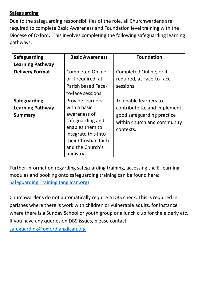#### **Safeguarding**

Due to the safeguarding responsibilities of the role, all Churchwardens are required to complete Basic Awareness and Foundation level training with the Diocese of Oxford. This involves completing the following safeguarding learning pathways:

| <b>Safeguarding</b>                                              | <b>Basic Awareness</b>                                                                                                                                                          | <b>Foundation</b>                                                                                                                |
|------------------------------------------------------------------|---------------------------------------------------------------------------------------------------------------------------------------------------------------------------------|----------------------------------------------------------------------------------------------------------------------------------|
| <b>Learning Pathway</b>                                          |                                                                                                                                                                                 |                                                                                                                                  |
| <b>Delivery Format</b>                                           | Completed Online,<br>or if required, at<br>Parish based Face-<br>to-face sessions.                                                                                              | Completed Online, or if<br>required, at Face-to-face<br>sessions.                                                                |
| <b>Safeguarding</b><br><b>Learning Pathway</b><br><b>Summary</b> | <b>Provide learners</b><br>with a basic<br>awareness of<br>safeguarding and<br>enables them to<br>integrate this into<br>their Christian faith<br>and the Church's<br>ministry. | To enable learners to<br>contribute to, and implement,<br>good safeguarding practice<br>within church and community<br>contexts. |

Further information regarding safeguarding training, accessing the E-learning modules and booking onto safeguarding training can be found here: [Safeguarding Training \(anglican.org\)](https://www.oxford.anglican.org/support-services/safeguarding/safeguarding-training/#tab-id-1)

Churchwardens do not automatically require a DBS check. This is required in parishes where there is work with children or vulnerable adults, for instance where there is a Sunday School or youth group or a lunch club for the elderly etc. If you have any queries on DBS issues, please contact [safeguarding@oxford.anglican.org](mailto:safeguarding@oxford.anglican.org)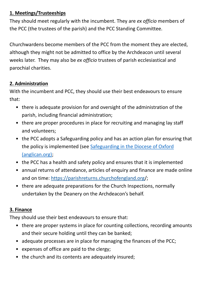## **1. Meetings/Trusteeships**

They should meet regularly with the incumbent. They are *ex officio* members of the PCC (the trustees of the parish) and the PCC Standing Committee.

Churchwardens become members of the PCC from the moment they are elected, although they might not be admitted to office by the Archdeacon until several weeks later. They may also be *ex officio* trustees of parish ecclesiastical and parochial charities.

## **2. Administration**

With the incumbent and PCC, they should use their best endeavours to ensure that:

- there is adequate provision for and oversight of the administration of the parish, including financial administration;
- there are proper procedures in place for recruiting and managing lay staff and volunteers;
- the PCC adopts a Safeguarding policy and has an action plan for ensuring that the policy is implemented (see [Safeguarding in the Diocese of Oxford](https://www.oxford.anglican.org/support-services/safeguarding/policies-forms-guidance/#tab-id-1)  [\(anglican.org\);](https://www.oxford.anglican.org/support-services/safeguarding/policies-forms-guidance/#tab-id-1)
- the PCC has a health and safety policy and ensures that it is implemented
- annual returns of attendance, articles of enquiry and finance are made online and on time:<https://parishreturns.churchofengland.org/>;
- there are adequate preparations for the Church Inspections, normally undertaken by the Deanery on the Archdeacon's behalf.

# **3. Finance**

They should use their best endeavours to ensure that:

- there are proper systems in place for counting collections, recording amounts and their secure holding until they can be banked;
- adequate processes are in place for managing the finances of the PCC;
- expenses of office are paid to the clergy;
- the church and its contents are adequately insured;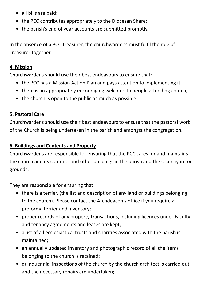- all bills are paid;
- the PCC contributes appropriately to the Diocesan Share;
- the parish's end of year accounts are submitted promptly.

In the absence of a PCC Treasurer, the churchwardens must fulfil the role of Treasurer together.

#### **4. Mission**

Churchwardens should use their best endeavours to ensure that:

- the PCC has a Mission Action Plan and pays attention to implementing it;
- there is an appropriately encouraging welcome to people attending church;
- the church is open to the public as much as possible.

#### **5. Pastoral Care**

Churchwardens should use their best endeavours to ensure that the pastoral work of the Church is being undertaken in the parish and amongst the congregation.

#### **6. Buildings and Contents and Property**

Churchwardens are responsible for ensuring that the PCC cares for and maintains the church and its contents and other buildings in the parish and the churchyard or grounds.

They are responsible for ensuring that:

- there is a terrier, (the list and description of any land or buildings belonging to the church). Please contact the Archdeacon's office if you require a proforma terrier and inventory;
- proper records of any property transactions, including licences under Faculty and tenancy agreements and leases are kept;
- a list of all ecclesiastical trusts and charities associated with the parish is maintained;
- an annually updated inventory and photographic record of all the items belonging to the church is retained;
- quinquennial inspections of the church by the church architect is carried out and the necessary repairs are undertaken;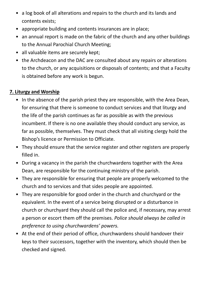- a log book of all alterations and repairs to the church and its lands and contents exists;
- appropriate building and contents insurances are in place;
- an annual report is made on the fabric of the church and any other buildings to the Annual Parochial Church Meeting;
- all valuable items are securely kept;
- the Archdeacon and the DAC are consulted about any repairs or alterations to the church, or any acquisitions or disposals of contents; and that a Faculty is obtained before any work is begun.

# **7. Liturgy and Worship**

- In the absence of the parish priest they are responsible, with the Area Dean, for ensuring that there is someone to conduct services and that liturgy and the life of the parish continues as far as possible as with the previous incumbent. If there is no one available they should conduct any service, as far as possible, themselves. They must check that all visiting clergy hold the Bishop's licence or Permission to Officiate.
- They should ensure that the service register and other registers are properly filled in.
- During a vacancy in the parish the churchwardens together with the Area Dean, are responsible for the continuing ministry of the parish.
- They are responsible for ensuring that people are properly welcomed to the church and to services and that sides people are appointed.
- They are responsible for good order in the church and churchyard or the equivalent. In the event of a service being disrupted or a disturbance in church or churchyard they should call the police and, if necessary, may arrest a person or escort them off the premises. *Police should always be called in preference to using churchwardens' powers.*
- At the end of their period of office, churchwardens should handover their keys to their successors, together with the inventory, which should then be checked and signed.